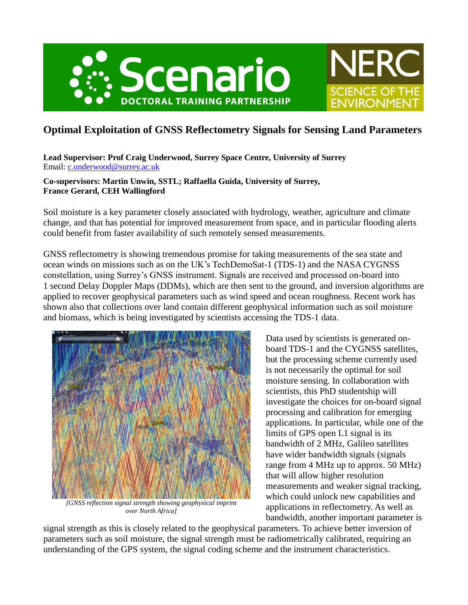



**Lead Supervisor: Prof Craig Underwood, Surrey Space Centre, University of Surrey** Email: [c.underwood@surrey.ac.uk](mailto:c.underwood@surrey.ac.uk)

#### **Co-supervisors: Martin Unwin, SSTL; Raffaella Guida, University of Surrey, France Gerard, CEH Wallingford**

Soil moisture is a key parameter closely associated with hydrology, weather, agriculture and climate change, and that has potential for improved measurement from space, and in particular flooding alerts could benefit from faster availability of such remotely sensed measurements.

GNSS reflectometry is showing tremendous promise for taking measurements of the sea state and ocean winds on missions such as on the UK's TechDemoSat-1 (TDS-1) and the NASA CYGNSS constellation, using Surrey's GNSS instrument. Signals are received and processed on-board into 1 second Delay Doppler Maps (DDMs), which are then sent to the ground, and inversion algorithms are applied to recover geophysical parameters such as wind speed and ocean roughness. Recent work has shown also that collections over land contain different geophysical information such as soil moisture and biomass, which is being investigated by scientists accessing the TDS-1 data.



*[GNSS reflection signal strength showing geophysical imprint over North Africa]*

Data used by scientists is generated onboard TDS-1 and the CYGNSS satellites, but the processing scheme currently used is not necessarily the optimal for soil moisture sensing. In collaboration with scientists, this PhD studentship will investigate the choices for on-board signal processing and calibration for emerging applications. In particular, while one of the limits of GPS open L1 signal is its bandwidth of 2 MHz, Galileo satellites have wider bandwidth signals (signals range from 4 MHz up to approx. 50 MHz) that will allow higher resolution measurements and weaker signal tracking, which could unlock new capabilities and applications in reflectometry. As well as bandwidth, another important parameter is

NER(

**SCIENCE OF THE** 

**ENVIRONMEN** 

signal strength as this is closely related to the geophysical parameters. To achieve better inversion of parameters such as soil moisture, the signal strength must be radiometrically calibrated, requiring an understanding of the GPS system, the signal coding scheme and the instrument characteristics.